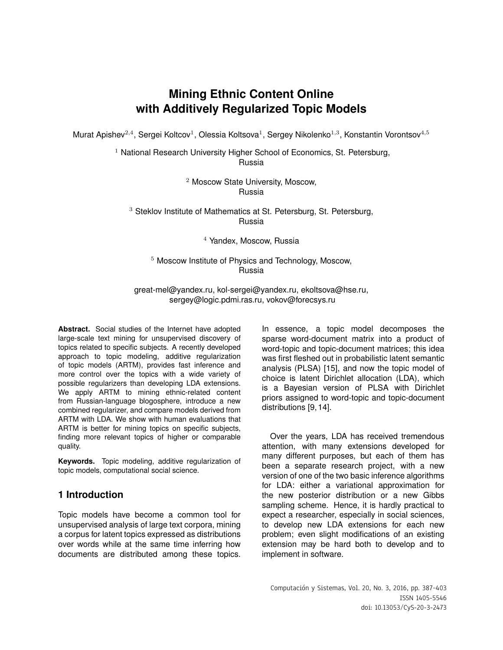# **Mining Ethnic Content Online with Additively Regularized Topic Models**

Murat Apishev<sup>2,4</sup>, Sergei Koltcov<sup>1</sup>, Olessia Koltsova<sup>1</sup>, Sergey Nikolenko<sup>1,3</sup>, Konstantin Vorontsov<sup>4,5</sup>

<sup>1</sup> National Research University Higher School of Economics, St. Petersburg, Russia

> <sup>2</sup> Moscow State University, Moscow, Russia

<sup>3</sup> Steklov Institute of Mathematics at St. Petersburg, St. Petersburg, Russia

<sup>4</sup> Yandex, Moscow, Russia

<sup>5</sup> Moscow Institute of Physics and Technology, Moscow, Russia

great-mel@yandex.ru, kol-sergei@yandex.ru, ekoltsova@hse.ru, sergey@logic.pdmi.ras.ru, vokov@forecsys.ru

**Abstract.** Social studies of the Internet have adopted large-scale text mining for unsupervised discovery of topics related to specific subjects. A recently developed approach to topic modeling, additive regularization of topic models (ARTM), provides fast inference and more control over the topics with a wide variety of possible regularizers than developing LDA extensions. We apply ARTM to mining ethnic-related content from Russian-language blogosphere, introduce a new combined regularizer, and compare models derived from ARTM with LDA. We show with human evaluations that ARTM is better for mining topics on specific subjects, finding more relevant topics of higher or comparable quality.

**Keywords.** Topic modeling, additive regularization of topic models, computational social science.

# **1 Introduction**

Topic models have become a common tool for unsupervised analysis of large text corpora, mining a corpus for latent topics expressed as distributions over words while at the same time inferring how documents are distributed among these topics. In essence, a topic model decomposes the sparse word-document matrix into a product of word-topic and topic-document matrices; this idea was first fleshed out in probabilistic latent semantic analysis (PLSA) [15], and now the topic model of choice is latent Dirichlet allocation (LDA), which is a Bayesian version of PLSA with Dirichlet priors assigned to word-topic and topic-document distributions [9, 14].

Over the years, LDA has received tremendous attention, with many extensions developed for many different purposes, but each of them has been a separate research project, with a new version of one of the two basic inference algorithms for LDA: either a variational approximation for the new posterior distribution or a new Gibbs sampling scheme. Hence, it is hardly practical to expect a researcher, especially in social sciences, to develop new LDA extensions for each new problem; even slight modifications of an existing extension may be hard both to develop and to implement in software.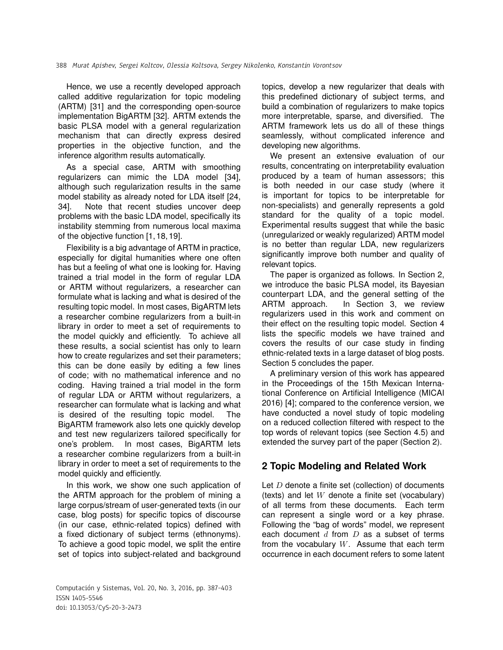Hence, we use a recently developed approach called additive regularization for topic modeling (ARTM) [31] and the corresponding open-source implementation BigARTM [32]. ARTM extends the basic PLSA model with a general regularization mechanism that can directly express desired properties in the objective function, and the inference algorithm results automatically.

As a special case, ARTM with smoothing regularizers can mimic the LDA model [34], although such regularization results in the same model stability as already noted for LDA itself [24, 34]. Note that recent studies uncover deep problems with the basic LDA model, specifically its instability stemming from numerous local maxima of the objective function [1, 18, 19].

Flexibility is a big advantage of ARTM in practice, especially for digital humanities where one often has but a feeling of what one is looking for. Having trained a trial model in the form of regular LDA or ARTM without regularizers, a researcher can formulate what is lacking and what is desired of the resulting topic model. In most cases, BigARTM lets a researcher combine regularizers from a built-in library in order to meet a set of requirements to the model quickly and efficiently. To achieve all these results, a social scientist has only to learn how to create regularizes and set their parameters; this can be done easily by editing a few lines of code; with no mathematical inference and no coding. Having trained a trial model in the form of regular LDA or ARTM without regularizers, a researcher can formulate what is lacking and what is desired of the resulting topic model. The BigARTM framework also lets one quickly develop and test new regularizers tailored specifically for one's problem. In most cases, BigARTM lets a researcher combine regularizers from a built-in library in order to meet a set of requirements to the model quickly and efficiently.

In this work, we show one such application of the ARTM approach for the problem of mining a large corpus/stream of user-generated texts (in our case, blog posts) for specific topics of discourse (in our case, ethnic-related topics) defined with a fixed dictionary of subject terms (ethnonyms). To achieve a good topic model, we split the entire set of topics into subject-related and background

Computación y Sistemas, Vol. 20, No. 3, 2016, pp. 387–403 ISSN 1405-5546 doi: 10.13053/CyS-20-3-2473

topics, develop a new regularizer that deals with this predefined dictionary of subject terms, and build a combination of regularizers to make topics more interpretable, sparse, and diversified. The ARTM framework lets us do all of these things seamlessly, without complicated inference and developing new algorithms.

We present an extensive evaluation of our results, concentrating on interpretability evaluation produced by a team of human assessors; this is both needed in our case study (where it is important for topics to be interpretable for non-specialists) and generally represents a gold standard for the quality of a topic model. Experimental results suggest that while the basic (unregularized or weakly regularized) ARTM model is no better than regular LDA, new regularizers significantly improve both number and quality of relevant topics.

The paper is organized as follows. In Section 2, we introduce the basic PLSA model, its Bayesian counterpart LDA, and the general setting of the ARTM approach. In Section 3, we review regularizers used in this work and comment on their effect on the resulting topic model. Section 4 lists the specific models we have trained and covers the results of our case study in finding ethnic-related texts in a large dataset of blog posts. Section 5 concludes the paper.

A preliminary version of this work has appeared in the Proceedings of the 15th Mexican International Conference on Artificial Intelligence (MICAI 2016) [4]; compared to the conference version, we have conducted a novel study of topic modeling on a reduced collection filtered with respect to the top words of relevant topics (see Section 4.5) and extended the survey part of the paper (Section 2).

# **2 Topic Modeling and Related Work**

Let  $D$  denote a finite set (collection) of documents (texts) and let  $W$  denote a finite set (vocabulary) of all terms from these documents. Each term can represent a single word or a key phrase. Following the "bag of words" model, we represent each document  $d$  from  $D$  as a subset of terms from the vocabulary  $W$ . Assume that each term occurrence in each document refers to some latent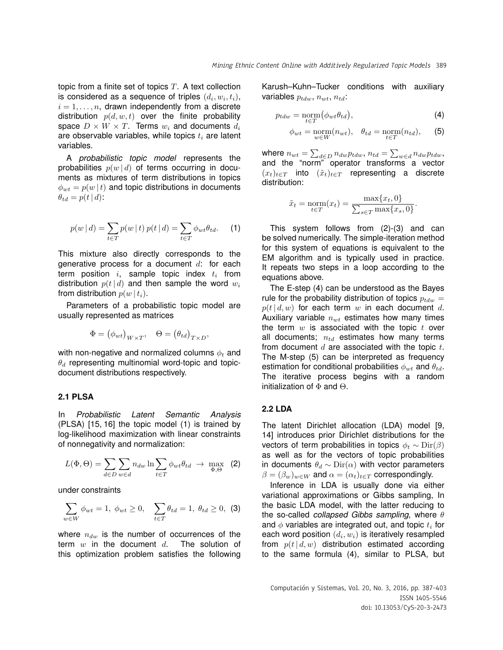topic from a finite set of topics  $T$ . A text collection is considered as a sequence of triples  $(d_i, w_i, t_i)$ ,  $i = 1, \ldots, n$ , drawn independently from a discrete distribution  $p(d, w, t)$  over the finite probability space  $D \times W \times T$ . Terms  $w_i$  and documents  $d_i$ are observable variables, while topics  $t_i$  are latent variables.

A *probabilistic topic model* represents the probabilities  $p(w | d)$  of terms occurring in documents as mixtures of term distributions in topics  $\phi_{wt} = p(w | t)$  and topic distributions in documents  $\theta_{td} = p(t | d)$ :

$$
p(w | d) = \sum_{t \in T} p(w | t) p(t | d) = \sum_{t \in T} \phi_{wt} \theta_{td}.
$$
 (1)

This mixture also directly corresponds to the generative process for a document  $d$ : for each term position  $i$ , sample topic index  $t_i$  from distribution  $p(t | d)$  and then sample the word  $w_i$ from distribution  $p(w | t_i)$ .

Parameters of a probabilistic topic model are usually represented as matrices

$$
\Phi = (\phi_{wt})_{W \times T}, \quad \Theta = (\theta_{td})_{T \times D},
$$

with non-negative and normalized columns  $\phi_t$  and  $\theta_d$  representing multinomial word-topic and topicdocument distributions respectively.

### **2.1 PLSA**

In *Probabilistic Latent Semantic Analysis* (PLSA) [15, 16] the topic model (1) is trained by log-likelihood maximization with linear constraints of nonnegativity and normalization:

$$
L(\Phi, \Theta) = \sum_{d \in D} \sum_{w \in d} n_{dw} \ln \sum_{t \in T} \phi_{wt} \theta_{td} \rightarrow \max_{\Phi, \Theta} (2)
$$

under constraints

$$
\sum_{w \in W} \phi_{wt} = 1, \ \phi_{wt} \ge 0, \quad \sum_{t \in T} \theta_{td} = 1, \ \theta_{td} \ge 0, \ \ (3)
$$

where  $n_{dw}$  is the number of occurrences of the term  $w$  in the document  $d$ . The solution of this optimization problem satisfies the following Karush–Kuhn–Tucker conditions with auxiliary variables  $p_{tdw}$ ,  $n_{wt}$ ,  $n_{td}$ :

$$
p_{tdw} = \underset{t \in T}{\text{norm}} \left( \phi_{wt} \theta_{td} \right), \tag{4}
$$

$$
\phi_{wt} = \underset{w \in W}{\text{norm}}(n_{wt}), \quad \theta_{td} = \underset{t \in T}{\text{norm}}(n_{td}), \quad (5)
$$

where  $n_{wt} = \sum_{d \in D} n_{dw} p_{tdw}$ ,  $n_{td} = \sum_{w \in d} n_{dw} p_{tdw}$ , and the "norm" operator transforms a vector  $(x_t)_{t\in T}$  into  $(\tilde{x}_t)_{t\in T}$  representing a discrete distribution:

$$
\tilde{x}_t = \underset{t \in T}{\text{norm}}(x_t) = \frac{\max\{x_t, 0\}}{\sum_{s \in T} \max\{x_s, 0\}}.
$$

This system follows from (2)-(3) and can be solved numerically. The simple-iteration method for this system of equations is equivalent to the EM algorithm and is typically used in practice. It repeats two steps in a loop according to the equations above.

The E-step (4) can be understood as the Bayes rule for the probability distribution of topics  $p_{tdw} =$  $p(t | d, w)$  for each term w in each document d. Auxiliary variable  $n_{wt}$  estimates how many times the term  $w$  is associated with the topic  $t$  over all documents;  $n_{td}$  estimates how many terms from document  $d$  are associated with the topic  $t$ . The M-step (5) can be interpreted as frequency estimation for conditional probabilities  $\phi_{wt}$  and  $\theta_{td}$ . The iterative process begins with a random initialization of Φ and Θ.

### **2.2 LDA**

The latent Dirichlet allocation (LDA) model [9, 14] introduces prior Dirichlet distributions for the vectors of term probabilities in topics  $\phi_t \sim \text{Dir}(\beta)$ as well as for the vectors of topic probabilities in documents  $\theta_d \sim \text{Dir}(\alpha)$  with vector parameters  $\beta = (\beta_w)_{w \in W}$  and  $\alpha = (\alpha_t)_{t \in T}$  correspondingly.

Inference in LDA is usually done via either variational approximations or Gibbs sampling, In the basic LDA model, with the latter reducing to the so-called *collapsed Gibbs sampling*, where θ and  $\phi$  variables are integrated out, and topic  $t_i$  for each word position  $(d_i, w_i)$  is iteratively resampled from  $p(t | d, w)$  distribution estimated according to the same formula (4), similar to PLSA, but

Computación y Sistemas, Vol. 20, No. 3, 2016, pp. 387–403 ISSN 1405-5546 doi: 10.13053/CyS-20-3-2473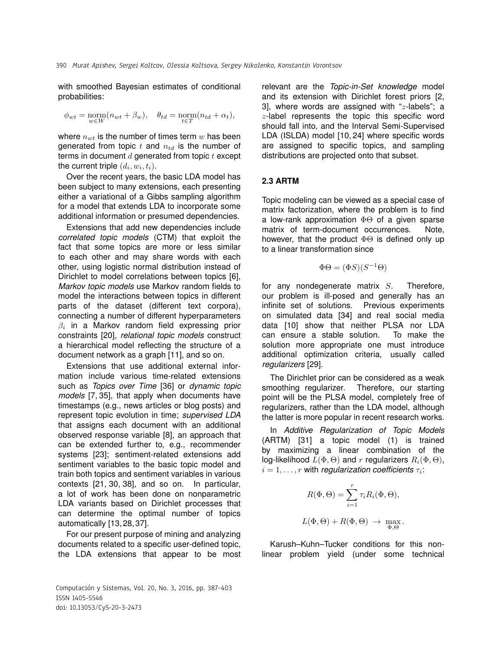with smoothed Bayesian estimates of conditional probabilities:

$$
\phi_{wt} = \underset{w \in W}{\text{norm}}(n_{wt} + \beta_w), \quad \theta_{td} = \underset{t \in T}{\text{norm}}(n_{td} + \alpha_t),
$$

where  $n_{wt}$  is the number of times term w has been generated from topic  $t$  and  $n_{td}$  is the number of terms in document  $d$  generated from topic  $t$  except the current triple  $(d_i, w_i, t_i)$ .

Over the recent years, the basic LDA model has been subject to many extensions, each presenting either a variational of a Gibbs sampling algorithm for a model that extends LDA to incorporate some additional information or presumed dependencies.

Extensions that add new dependencies include *correlated topic models* (CTM) that exploit the fact that some topics are more or less similar to each other and may share words with each other, using logistic normal distribution instead of Dirichlet to model correlations between topics [6], *Markov topic models* use Markov random fields to model the interactions between topics in different parts of the dataset (different text corpora), connecting a number of different hyperparameters  $\beta_i$  in a Markov random field expressing prior constraints [20], *relational topic models* construct a hierarchical model reflecting the structure of a document network as a graph [11], and so on.

Extensions that use additional external information include various time-related extensions such as *Topics over Time* [36] or *dynamic topic models* [7, 35], that apply when documents have timestamps (e.g., news articles or blog posts) and represent topic evolution in time; *supervised LDA* that assigns each document with an additional observed response variable [8], an approach that can be extended further to, e.g., recommender systems [23]; sentiment-related extensions add sentiment variables to the basic topic model and train both topics and sentiment variables in various contexts [21, 30, 38], and so on. In particular, a lot of work has been done on nonparametric LDA variants based on Dirichlet processes that can determine the optimal number of topics automatically [13, 28, 37].

For our present purpose of mining and analyzing documents related to a specific user-defined topic, the LDA extensions that appear to be most

Computación y Sistemas, Vol. 20, No. 3, 2016, pp. 387–403 ISSN 1405-5546 doi: 10.13053/CyS-20-3-2473

relevant are the *Topic-in-Set knowledge* model and its extension with Dirichlet forest priors [2, 3], where words are assigned with " $z$ -labels"; a  $z$ -label represents the topic this specific word should fall into, and the Interval Semi-Supervised LDA (ISLDA) model [10, 24] where specific words are assigned to specific topics, and sampling distributions are projected onto that subset.

### **2.3 ARTM**

Topic modeling can be viewed as a special case of matrix factorization, where the problem is to find a low-rank approximation ΦΘ of a given sparse matrix of term-document occurrences. Note, however, that the product  $\Phi\Theta$  is defined only up to a linear transformation since

$$
\Phi\Theta = (\Phi S)(S^{-1}\Theta)
$$

for any nondegenerate matrix  $S$ . Therefore, our problem is ill-posed and generally has an infinite set of solutions. Previous experiments on simulated data [34] and real social media data [10] show that neither PLSA nor LDA can ensure a stable solution. To make the solution more appropriate one must introduce additional optimization criteria, usually called *regularizers* [29].

The Dirichlet prior can be considered as a weak smoothing regularizer. Therefore, our starting point will be the PLSA model, completely free of regularizers, rather than the LDA model, although the latter is more popular in recent research works.

In *Additive Regularization of Topic Models* (ARTM) [31] a topic model (1) is trained by maximizing a linear combination of the log-likelihood  $L(\Phi, \Theta)$  and r regularizers  $R_i(\Phi, \Theta)$ ,  $i=1,\ldots,r$  with *regularization coefficients*  $\tau_i$ *:* 

$$
R(\Phi, \Theta) = \sum_{i=1}^{r} \tau_i R_i(\Phi, \Theta),
$$
  

$$
L(\Phi, \Theta) + R(\Phi, \Theta) \rightarrow \max_{\Phi, \Theta}.
$$

Karush–Kuhn–Tucker conditions for this nonlinear problem yield (under some technical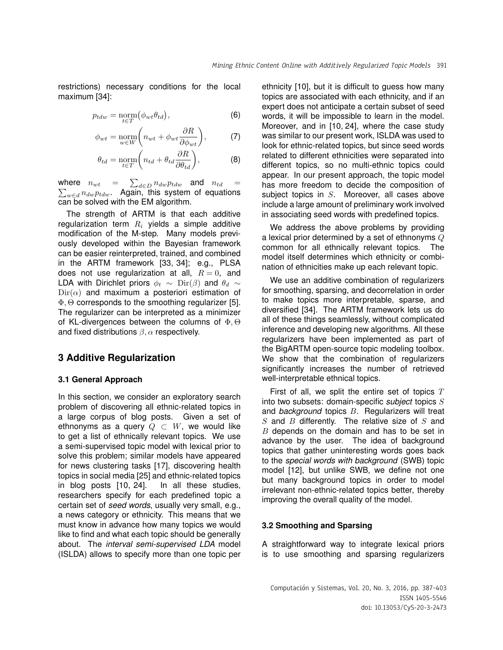restrictions) necessary conditions for the local maximum [34]:

$$
p_{tdw} = \underset{t \in T}{\text{norm}}(\phi_{wt} \theta_{td}), \tag{6}
$$

$$
\phi_{wt} = \underset{w \in W}{\text{norm}} \bigg( n_{wt} + \phi_{wt} \frac{\partial R}{\partial \phi_{wt}} \bigg), \tag{7}
$$

$$
\theta_{td} = \underset{t \in T}{\text{norm}} \bigg( n_{td} + \theta_{td} \frac{\partial R}{\partial \theta_{td}} \bigg), \tag{8}
$$

where  $n_{wt}$  =  $\sum$  $\sum$  $d\epsilon_D\, n_{dw} p_{tdw}$  and  $n_{td}$  =  $_{w\in d}\,n_{dw}p_{tdw}.$  Again, this system of equations can be solved with the EM algorithm.

The strength of ARTM is that each additive regularization term  $R_i$  yields a simple additive modification of the M-step. Many models previously developed within the Bayesian framework can be easier reinterpreted, trained, and combined in the ARTM framework [33, 34]; e.g., PLSA does not use regularization at all,  $R = 0$ , and LDA with Dirichlet priors  $\phi_t \sim \text{Dir}(\beta)$  and  $\theta_d \sim$  $Dir(\alpha)$  and maximum a posteriori estimation of Φ, Θ corresponds to the smoothing regularizer [5]. The regularizer can be interpreted as a minimizer of KL-divergences between the columns of  $\Phi$ ,  $\Theta$ and fixed distributions  $\beta$ ,  $\alpha$  respectively.

# **3 Additive Regularization**

### **3.1 General Approach**

In this section, we consider an exploratory search problem of discovering all ethnic-related topics in a large corpus of blog posts. Given a set of ethnonyms as a query  $Q \subset W$ , we would like to get a list of ethnically relevant topics. We use a semi-supervised topic model with lexical prior to solve this problem; similar models have appeared for news clustering tasks [17], discovering health topics in social media [25] and ethnic-related topics in blog posts [10, 24]. In all these studies, researchers specify for each predefined topic a certain set of *seed words*, usually very small, e.g., a news category or ethnicity. This means that we must know in advance how many topics we would like to find and what each topic should be generally about. The *interval semi-supervised LDA* model (ISLDA) allows to specify more than one topic per ethnicity [10], but it is difficult to guess how many topics are associated with each ethnicity, and if an expert does not anticipate a certain subset of seed words, it will be impossible to learn in the model. Moreover, and in [10, 24], where the case study was similar to our present work, ISLDA was used to look for ethnic-related topics, but since seed words related to different ethnicities were separated into different topics, so no multi-ethnic topics could appear. In our present approach, the topic model has more freedom to decide the composition of subject topics in S. Moreover, all cases above include a large amount of preliminary work involved in associating seed words with predefined topics.

We address the above problems by providing a lexical prior determined by a set of ethnonyms  $Q$ common for all ethnically relevant topics. The model itself determines which ethnicity or combination of ethnicities make up each relevant topic.

We use an additive combination of regularizers for smoothing, sparsing, and decorrelation in order to make topics more interpretable, sparse, and diversified [34]. The ARTM framework lets us do all of these things seamlessly, without complicated inference and developing new algorithms. All these regularizers have been implemented as part of the BigARTM open-source topic modeling toolbox. We show that the combination of regularizers significantly increases the number of retrieved well-interpretable ethnical topics.

First of all, we split the entire set of topics  $T$ into two subsets: domain-specific *subject* topics S and *background* topics B. Regularizers will treat  $S$  and  $B$  differently. The relative size of  $S$  and  $B$  depends on the domain and has to be set in advance by the user. The idea of background topics that gather uninteresting words goes back to the *special words with background* (SWB) topic model [12], but unlike SWB, we define not one but many background topics in order to model irrelevant non-ethnic-related topics better, thereby improving the overall quality of the model.

### **3.2 Smoothing and Sparsing**

A straightforward way to integrate lexical priors is to use smoothing and sparsing regularizers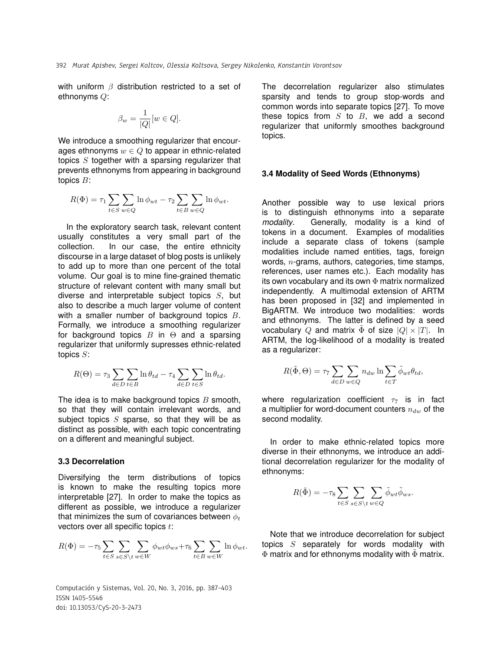with uniform  $\beta$  distribution restricted to a set of ethnonyms Q:

$$
\beta_w = \frac{1}{|Q|} [w \in Q].
$$

We introduce a smoothing regularizer that encourages ethnonyms  $w \in Q$  to appear in ethnic-related topics  $S$  together with a sparsing regularizer that prevents ethnonyms from appearing in background topics B:

$$
R(\Phi) = \tau_1 \sum_{t \in S} \sum_{w \in Q} \ln \phi_{wt} - \tau_2 \sum_{t \in B} \sum_{w \in Q} \ln \phi_{wt}.
$$

In the exploratory search task, relevant content usually constitutes a very small part of the collection. In our case, the entire ethnicity discourse in a large dataset of blog posts is unlikely to add up to more than one percent of the total volume. Our goal is to mine fine-grained thematic structure of relevant content with many small but diverse and interpretable subject topics  $S$ , but also to describe a much larger volume of content with a smaller number of background topics  $B$ . Formally, we introduce a smoothing regularizer for background topics  $B$  in  $\Theta$  and a sparsing regularizer that uniformly supresses ethnic-related topics S:

$$
R(\Theta) = \tau_3 \sum_{d \in D} \sum_{t \in B} \ln \theta_{td} - \tau_4 \sum_{d \in D} \sum_{t \in S} \ln \theta_{td}.
$$

The idea is to make background topics  $B$  smooth, so that they will contain irrelevant words, and subject topics  $S$  sparse, so that they will be as distinct as possible, with each topic concentrating on a different and meaningful subject.

### **3.3 Decorrelation**

Diversifying the term distributions of topics is known to make the resulting topics more interpretable [27]. In order to make the topics as different as possible, we introduce a regularizer that minimizes the sum of covariances between  $\phi_t$ vectors over all specific topics  $t$ :

$$
R(\Phi) = -\tau_5 \sum_{t \in S} \sum_{s \in S \setminus t} \sum_{w \in W} \phi_{wt} \phi_{ws} + \tau_6 \sum_{t \in B} \sum_{w \in W} \ln \phi_{wt}.
$$

Computación y Sistemas, Vol. 20, No. 3, 2016, pp. 387–403 ISSN 1405-5546 doi: 10.13053/CyS-20-3-2473

The decorrelation regularizer also stimulates sparsity and tends to group stop-words and common words into separate topics [27]. To move these topics from  $S$  to  $B$ , we add a second regularizer that uniformly smoothes background topics.

#### **3.4 Modality of Seed Words (Ethnonyms)**

Another possible way to use lexical priors is to distinguish ethnonyms into a separate *modality*. Generally, modality is a kind of tokens in a document. Examples of modalities include a separate class of tokens (sample modalities include named entities, tags, foreign words,  $n$ -grams, authors, categories, time stamps, references, user names etc.). Each modality has its own vocabulary and its own  $\Phi$  matrix normalized independently. A multimodal extension of ARTM has been proposed in [32] and implemented in BigARTM. We introduce two modalities: words and ethnonyms. The latter is defined by a seed vocabulary Q and matrix  $\tilde{\Phi}$  of size  $|Q| \times |T|$ . In ARTM, the log-likelihood of a modality is treated as a regularizer:

$$
R(\tilde{\Phi}, \Theta) = \tau_7 \sum_{d \in D} \sum_{w \in Q} n_{dw} \ln \sum_{t \in T} \tilde{\phi}_{wt} \theta_{td},
$$

where regularization coefficient  $\tau_7$  is in fact a multiplier for word-document counters  $n_{dw}$  of the second modality.

In order to make ethnic-related topics more diverse in their ethnonyms, we introduce an additional decorrelation regularizer for the modality of ethnonyms:

$$
R(\tilde{\Phi}) = -\tau_8 \sum_{t \in S} \sum_{s \in S \setminus t} \sum_{w \in Q} \tilde{\phi}_{wt} \tilde{\phi}_{ws}.
$$

Note that we introduce decorrelation for subject topics  $S$  separately for words modality with  $\Phi$  matrix and for ethnonyms modality with  $\tilde{\Phi}$  matrix.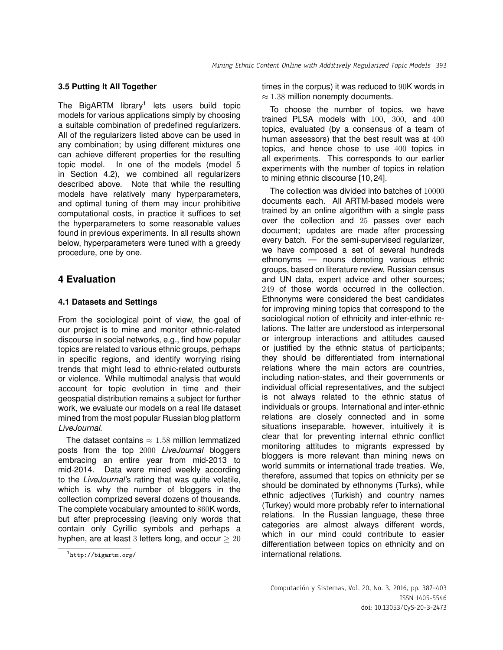### **3.5 Putting It All Together**

The BigARTM library<sup>1</sup> lets users build topic models for various applications simply by choosing a suitable combination of predefined regularizers. All of the regularizers listed above can be used in any combination; by using different mixtures one can achieve different properties for the resulting topic model. In one of the models (model 5 in Section 4.2), we combined all regularizers described above. Note that while the resulting models have relatively many hyperparameters, and optimal tuning of them may incur prohibitive computational costs, in practice it suffices to set the hyperparameters to some reasonable values found in previous experiments. In all results shown below, hyperparameters were tuned with a greedy procedure, one by one.

# **4 Evaluation**

### **4.1 Datasets and Settings**

From the sociological point of view, the goal of our project is to mine and monitor ethnic-related discourse in social networks, e.g., find how popular topics are related to various ethnic groups, perhaps in specific regions, and identify worrying rising trends that might lead to ethnic-related outbursts or violence. While multimodal analysis that would account for topic evolution in time and their geospatial distribution remains a subject for further work, we evaluate our models on a real life dataset mined from the most popular Russian blog platform *LiveJournal*.

The dataset contains  $\approx 1.58$  million lemmatized posts from the top 2000 *LiveJournal* bloggers embracing an entire year from mid-2013 to mid-2014. Data were mined weekly according to the *LiveJournal*'s rating that was quite volatile, which is why the number of bloggers in the collection comprized several dozens of thousands. The complete vocabulary amounted to 860K words, but after preprocessing (leaving only words that contain only Cyrillic symbols and perhaps a hyphen, are at least 3 letters long, and occur  $\geq 20$ 

times in the corpus) it was reduced to 90K words in  $\approx$  1.38 million nonempty documents.

To choose the number of topics, we have trained PLSA models with 100, 300, and 400 topics, evaluated (by a consensus of a team of human assessors) that the best result was at 400 topics, and hence chose to use 400 topics in all experiments. This corresponds to our earlier experiments with the number of topics in relation to mining ethnic discourse [10, 24].

The collection was divided into batches of 10000 documents each. All ARTM-based models were trained by an online algorithm with a single pass over the collection and 25 passes over each document; updates are made after processing every batch. For the semi-supervised regularizer, we have composed a set of several hundreds ethnonyms — nouns denoting various ethnic groups, based on literature review, Russian census and UN data, expert advice and other sources; 249 of those words occurred in the collection. Ethnonyms were considered the best candidates for improving mining topics that correspond to the sociological notion of ethnicity and inter-ethnic relations. The latter are understood as interpersonal or intergroup interactions and attitudes caused or justified by the ethnic status of participants; they should be differentiated from international relations where the main actors are countries, including nation-states, and their governments or individual official representatives, and the subject is not always related to the ethnic status of individuals or groups. International and inter-ethnic relations are closely connected and in some situations inseparable, however, intuitively it is clear that for preventing internal ethnic conflict monitoring attitudes to migrants expressed by bloggers is more relevant than mining news on world summits or international trade treaties. We, therefore, assumed that topics on ethnicity per se should be dominated by ethnonyms (Turks), while ethnic adjectives (Turkish) and country names (Turkey) would more probably refer to international relations. In the Russian language, these three categories are almost always different words, which in our mind could contribute to easier differentiation between topics on ethnicity and on international relations.

<sup>1</sup>http://bigartm.org/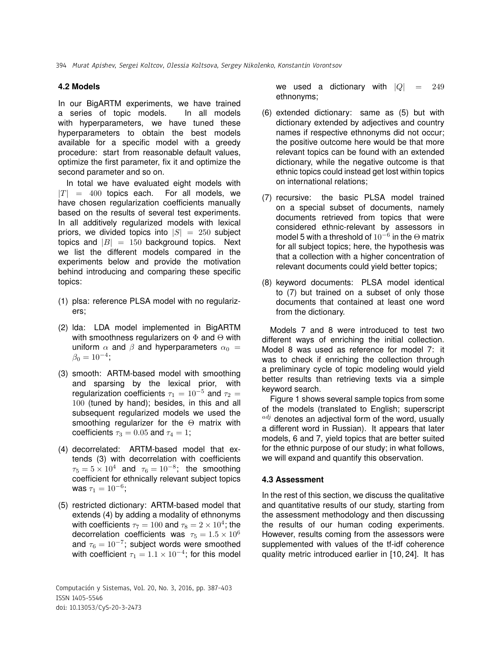### **4.2 Models**

In our BigARTM experiments, we have trained a series of topic models. In all models with hyperparameters, we have tuned these hyperparameters to obtain the best models available for a specific model with a greedy procedure: start from reasonable default values, optimize the first parameter, fix it and optimize the second parameter and so on.

In total we have evaluated eight models with  $|T| = 400$  topics each. For all models, we have chosen regularization coefficients manually based on the results of several test experiments. In all additively regularized models with lexical priors, we divided topics into  $|S| = 250$  subject topics and  $|B| = 150$  background topics. Next we list the different models compared in the experiments below and provide the motivation behind introducing and comparing these specific topics:

- (1) plsa: reference PLSA model with no regularizers;
- (2) lda: LDA model implemented in BigARTM with smoothness regularizers on  $\Phi$  and  $\Theta$  with uniform  $\alpha$  and  $\beta$  and hyperparameters  $\alpha_0 =$  $\beta_0 = 10^{-4};$
- (3) smooth: ARTM-based model with smoothing and sparsing by the lexical prior, with regularization coefficients  $\tau_1 = 10^{-5}$  and  $\tau_2 =$ 100 (tuned by hand); besides, in this and all subsequent regularized models we used the smoothing regularizer for the Θ matrix with coefficients  $\tau_3 = 0.05$  and  $\tau_4 = 1$ ;
- (4) decorrelated: ARTM-based model that extends (3) with decorrelation with coefficients  $\tau_5 = 5 \times 10^4$  and  $\tau_6 = 10^{-8}$ ; the smoothing coefficient for ethnically relevant subject topics was  $\tau_1 = 10^{-6}$ ;
- (5) restricted dictionary: ARTM-based model that extends (4) by adding a modality of ethnonyms with coefficients  $\tau_7=100$  and  $\tau_8=2\times 10^4;$  the decorrelation coefficients was  $\tau_5 = 1.5 \times 10^6$ and  $\tau_6 = 10^{-7}$ ; subject words were smoothed with coefficient  $\tau_1 = 1.1 \times 10^{-4};$  for this model

Computación y Sistemas, Vol. 20, No. 3, 2016, pp. 387–403 ISSN 1405-5546 doi: 10.13053/CyS-20-3-2473

we used a dictionary with  $|Q| = 249$ ethnonyms;

- (6) extended dictionary: same as (5) but with dictionary extended by adjectives and country names if respective ethnonyms did not occur; the positive outcome here would be that more relevant topics can be found with an extended dictionary, while the negative outcome is that ethnic topics could instead get lost within topics on international relations;
- (7) recursive: the basic PLSA model trained on a special subset of documents, namely documents retrieved from topics that were considered ethnic-relevant by assessors in model 5 with a threshold of  $10^{-6}$  in the  $\Theta$  matrix for all subject topics; here, the hypothesis was that a collection with a higher concentration of relevant documents could yield better topics;
- (8) keyword documents: PLSA model identical to (7) but trained on a subset of only those documents that contained at least one word from the dictionary.

Models 7 and 8 were introduced to test two different ways of enriching the initial collection. Model 8 was used as reference for model 7: it was to check if enriching the collection through a preliminary cycle of topic modeling would yield better results than retrieving texts via a simple keyword search.

Figure 1 shows several sample topics from some of the models (translated to English; superscript  $\frac{adj}{adj}$  denotes an adjectival form of the word, usually a different word in Russian). It appears that later models, 6 and 7, yield topics that are better suited for the ethnic purpose of our study; in what follows, we will expand and quantify this observation.

### **4.3 Assessment**

In the rest of this section, we discuss the qualitative and quantitative results of our study, starting from the assessment methodology and then discussing the results of our human coding experiments. However, results coming from the assessors were supplemented with values of the tf-idf coherence quality metric introduced earlier in [10, 24]. It has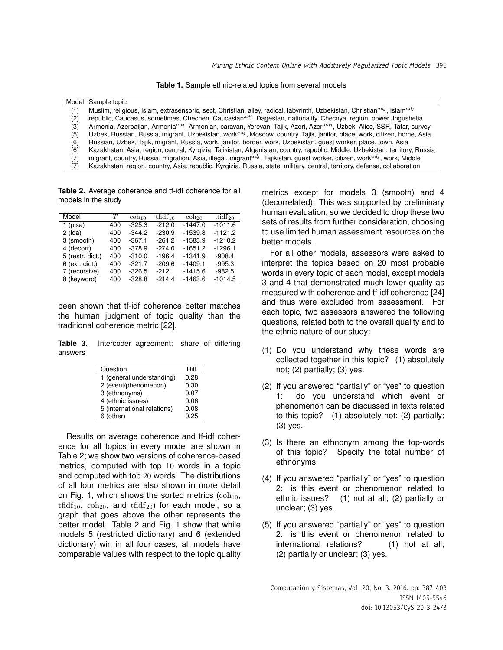Mining Ethnic Content Online with Additively Regularized Topic Models 395

**Table 1.** Sample ethnic-related topics from several models

| Model | Sample topic                                                                                                                                       |
|-------|----------------------------------------------------------------------------------------------------------------------------------------------------|
| (1)   | Muslim, religious, Islam, extrasensoric, sect, Christian, alley, radical, labyrinth, Uzbekistan, Christian <sup>adj</sup> , Islam <sup>adj</sup>   |
| (2)   | republic, Caucasus, sometimes, Chechen, Caucasian <sup>adj</sup> , Dagestan, nationality, Checnya, region, power, Ingushetia                       |
| (3)   | Armenia, Azerbaijan, Armenia <sup>adj</sup> , Armenian, caravan, Yerevan, Tajik, Azeri, Azeri <sup>adj</sup> , Uzbek, Alice, SSR, Tatar, survey    |
| (5)   | Uzbek, Russian, Russia, migrant, Uzbekistan, work <sup>adj</sup> , Moscow, country, Tajik, janitor, place, work, citizen, home, Asia               |
| (6)   | Russian, Uzbek, Tajik, migrant, Russia, work, janitor, border, work, Uzbekistan, guest worker, place, town, Asia                                   |
| (6)   | Kazakhstan, Asia, region, central, Kyrgizia, Tajikistan, Afganistan, country, republic, Middle, Uzbekistan, territory, Russia                      |
| (7)   | migrant, country, Russia, migration, Asia, illegal, migrant <sup>adj</sup> , Tajikistan, guest worker, citizen, work <sup>adj</sup> , work, Middle |
| (7)   | Kazakhstan, region, country, Asia, republic, Kyrgizia, Russia, state, military, central, territory, defense, collaboration                         |
|       |                                                                                                                                                    |

**Table 2.** Average coherence and tf-idf coherence for all models in the study

| Model            | T   | $\cosh_{10}$ | $tf\nVert_{10}$ | $\cosh_{20}$ | $tfidf_{20}$ |
|------------------|-----|--------------|-----------------|--------------|--------------|
| $1$ (plsa)       | 400 | $-325.3$     | $-212.0$        | $-1447.0$    | $-1011.6$    |
| $2$ (Ida)        | 400 | $-344.2$     | $-230.9$        | $-1539.8$    | $-1121.2$    |
| 3 (smooth)       | 400 | $-367.1$     | $-261.2$        | $-1583.9$    | $-1210.2$    |
| 4 (decorr)       | 400 | $-378.9$     | $-274.0$        | $-1651.2$    | $-1296.1$    |
| 5 (restr. dict.) | 400 | $-310.0$     | $-196.4$        | $-1341.9$    | $-908.4$     |
| $6$ (ext. dict.) | 400 | $-321.7$     | $-209.6$        | $-1409.1$    | $-995.3$     |
| 7 (recursive)    | 400 | $-326.5$     | $-212.1$        | $-1415.6$    | $-982.5$     |
| 8 (keyword)      | 400 | $-328.8$     | $-214.4$        | $-1463.6$    | $-1014.5$    |

been shown that tf-idf coherence better matches the human judgment of topic quality than the traditional coherence metric [22].

**Table 3.** Intercoder agreement: share of differing answers

| Question                    | Diff. |
|-----------------------------|-------|
| 1 (general understanding)   | 0.28  |
| 2 (event/phenomenon)        | 0.30  |
| 3 (ethnonyms)               | 0.07  |
| 4 (ethnic issues)           | 0.06  |
| 5 (international relations) | 0.08  |
| 6 (other)                   | 0.25  |

Results on average coherence and tf-idf coherence for all topics in every model are shown in Table 2; we show two versions of coherence-based metrics, computed with top 10 words in a topic and computed with top 20 words. The distributions of all four metrics are also shown in more detail on Fig. 1, which shows the sorted metrics  $(\text{coh}_{10}$ ,  $\text{tfidf}_{10}$ ,  $\text{coh}_{20}$ , and  $\text{tfidf}_{20}$ ) for each model, so a graph that goes above the other represents the better model. Table 2 and Fig. 1 show that while models 5 (restricted dictionary) and 6 (extended dictionary) win in all four cases, all models have comparable values with respect to the topic quality metrics except for models 3 (smooth) and 4 (decorrelated). This was supported by preliminary human evaluation, so we decided to drop these two sets of results from further consideration, choosing to use limited human assessment resources on the better models.

For all other models, assessors were asked to interpret the topics based on 20 most probable words in every topic of each model, except models 3 and 4 that demonstrated much lower quality as measured with coherence and tf-idf coherence [24] and thus were excluded from assessment. For each topic, two assessors answered the following questions, related both to the overall quality and to the ethnic nature of our study:

- (1) Do you understand why these words are collected together in this topic? (1) absolutely not; (2) partially; (3) yes.
- (2) If you answered "partially" or "yes" to question 1: do you understand which event or phenomenon can be discussed in texts related to this topic? (1) absolutely not; (2) partially; (3) yes.
- (3) Is there an ethnonym among the top-words of this topic? Specify the total number of ethnonyms.
- (4) If you answered "partially" or "yes" to question 2: is this event or phenomenon related to ethnic issues? (1) not at all; (2) partially or unclear; (3) yes.
- (5) If you answered "partially" or "yes" to question 2: is this event or phenomenon related to international relations? (1) not at all; (2) partially or unclear; (3) yes.

Computación y Sistemas, Vol. 20, No. 3, 2016, pp. 387–403 ISSN 1405-5546 doi: 10.13053/CyS-20-3-2473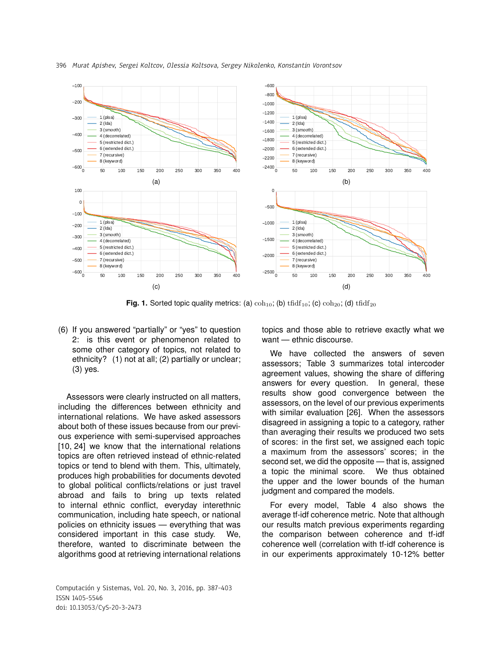

**Fig. 1.** Sorted topic quality metrics: (a)  $\coth_{10}$ ; (b)  $\text{tfidf}_{10}$ ; (c)  $\coth_{20}$ ; (d)  $\text{tfidf}_{20}$ 

(6) If you answered "partially" or "yes" to question 2: is this event or phenomenon related to some other category of topics, not related to ethnicity? (1) not at all; (2) partially or unclear; (3) yes.

Assessors were clearly instructed on all matters, including the differences between ethnicity and international relations. We have asked assessors about both of these issues because from our previous experience with semi-supervised approaches [10, 24] we know that the international relations topics are often retrieved instead of ethnic-related topics or tend to blend with them. This, ultimately, produces high probabilities for documents devoted to global political conflicts/relations or just travel abroad and fails to bring up texts related to internal ethnic conflict, everyday interethnic communication, including hate speech, or national policies on ethnicity issues — everything that was considered important in this case study. We, therefore, wanted to discriminate between the algorithms good at retrieving international relations

Computación y Sistemas, Vol. 20, No. 3, 2016, pp. 387–403 ISSN 1405-5546 doi: 10.13053/CyS-20-3-2473

topics and those able to retrieve exactly what we want — ethnic discourse.

We have collected the answers of seven assessors; Table 3 summarizes total intercoder agreement values, showing the share of differing answers for every question. In general, these results show good convergence between the assessors, on the level of our previous experiments with similar evaluation [26]. When the assessors disagreed in assigning a topic to a category, rather than averaging their results we produced two sets of scores: in the first set, we assigned each topic a maximum from the assessors' scores; in the second set, we did the opposite — that is, assigned a topic the minimal score. We thus obtained the upper and the lower bounds of the human judgment and compared the models.

For every model, Table 4 also shows the average tf-idf coherence metric. Note that although our results match previous experiments regarding the comparison between coherence and tf-idf coherence well (correlation with tf-idf coherence is in our experiments approximately 10-12% better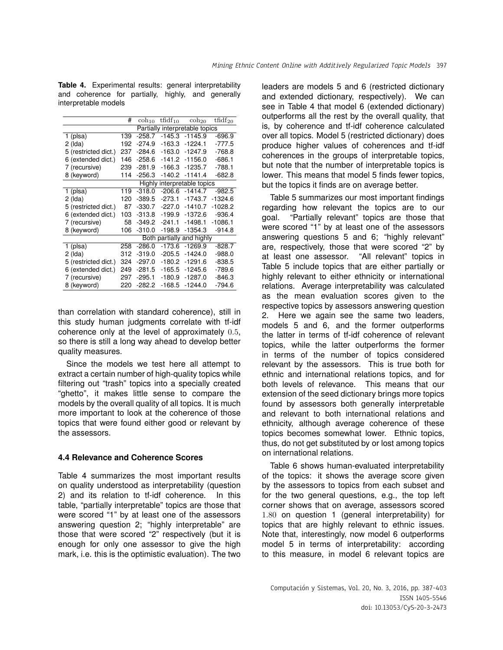**Table 4.** Experimental results: general interpretability and coherence for partially, highly, and generally interpretable models

|                      | #   | $\cosh_{10}$ | $tfidf_{10}$ | $\cosh_{20}$                   | $tfidf_{20}$ |
|----------------------|-----|--------------|--------------|--------------------------------|--------------|
|                      |     |              |              | Partially interpretable topics |              |
| $1$ (plsa)           | 139 | $-258.7$     | $-145.3$     | $-1145.9$                      | $-696.9$     |
| $2$ (Ida)            | 192 | -274.9       | $-163.3$     | $-1224.1$                      | $-777.5$     |
| 5 (restricted dict.) | 237 | $-284.6$     | $-163.0$     | $-1247.9$                      | $-768.8$     |
| 6 (extended dict.)   | 146 | $-258.6$     | $-141.2$     | $-1156.0$                      | $-686.1$     |
| 7 (recursive)        | 239 | $-281.9$     | $-166.3$     | $-1235.7$                      | -788.1       |
| 8 (keyword)          | 114 | -256.3       | -140.2       | $-1141.4$                      | $-682.8$     |
|                      |     | Highly       |              | interpretable topics           |              |
| $1$ (plsa)           | 119 | $-318.0$     | $-206.6$     | $-1414.7$                      | $-982.5$     |
| $2$ (Ida)            | 120 | $-389.5$     | $-273.1$     | $-1743.7$                      | -1324.6      |
| 5 (restricted dict.) | 87  | -330.7       | $-227.0$     | $-1410.7$                      | -1028.2      |
| 6 (extended dict.)   | 103 | $-313.8$     | -199.9       | $-1372.6$                      | $-936.4$     |
| 7 (recursive)        | 58  | $-349.2$     | $-241.1$     | $-1498.1$                      | -1086.1      |
| 8 (keyword)          | 106 | $-310.0$     | -198.9       | $-1354.3$                      | -914.8       |
|                      |     |              |              | Both partially and highly      |              |
| $1$ (plsa)           | 258 | $-286.0$     | $-173.6$     | $-1269.9$                      | -828.7       |
| $2$ (Ida)            | 312 | $-319.0$     | $-205.5$     | $-1424.0$                      | $-988.0$     |
| 5 (restricted dict.) | 324 | $-297.0$     | $-180.2$     | $-1291.6$                      | $-838.5$     |
| 6 (extended dict.)   | 249 | $-281.5$     | $-165.5$     | $-1245.6$                      | -789.6       |
| 7 (recursive)        | 297 | $-295.1$     | $-180.9$     | $-1287.0$                      | $-846.3$     |
| 8 (keyword)          | 220 | $-282.2$     | -168.5       | $-1244.0$                      | -794.6       |

than correlation with standard coherence), still in this study human judgments correlate with tf-idf coherence only at the level of approximately 0.5, so there is still a long way ahead to develop better quality measures.

Since the models we test here all attempt to extract a certain number of high-quality topics while filtering out "trash" topics into a specially created "ghetto", it makes little sense to compare the models by the overall quality of all topics. It is much more important to look at the coherence of those topics that were found either good or relevant by the assessors.

### **4.4 Relevance and Coherence Scores**

Table 4 summarizes the most important results on quality understood as interpretability (question 2) and its relation to tf-idf coherence. In this table, "partially interpretable" topics are those that were scored "1" by at least one of the assessors answering question 2; "highly interpretable" are those that were scored "2" respectively (but it is enough for only one assessor to give the high mark, i.e. this is the optimistic evaluation). The two

leaders are models 5 and 6 (restricted dictionary and extended dictionary, respectively). We can see in Table 4 that model 6 (extended dictionary) outperforms all the rest by the overall quality, that is, by coherence and tf-idf coherence calculated over all topics. Model 5 (restricted dictionary) does produce higher values of coherences and tf-idf coherences in the groups of interpretable topics, but note that the number of interpretable topics is lower. This means that model 5 finds fewer topics, but the topics it finds are on average better.

Table 5 summarizes our most important findings regarding how relevant the topics are to our goal. "Partially relevant" topics are those that were scored "1" by at least one of the assessors answering questions 5 and 6; "highly relevant" are, respectively, those that were scored "2" by at least one assessor. "All relevant" topics in Table 5 include topics that are either partially or highly relevant to either ethnicity or international relations. Average interpretability was calculated as the mean evaluation scores given to the respective topics by assessors answering question 2. Here we again see the same two leaders, models 5 and 6, and the former outperforms the latter in terms of tf-idf coherence of relevant topics, while the latter outperforms the former in terms of the number of topics considered relevant by the assessors. This is true both for ethnic and international relations topics, and for both levels of relevance. This means that our extension of the seed dictionary brings more topics found by assessors both generally interpretable and relevant to both international relations and ethnicity, although average coherence of these topics becomes somewhat lower. Ethnic topics, thus, do not get substituted by or lost among topics on international relations.

Table 6 shows human-evaluated interpretability of the topics: it shows the average score given by the assessors to topics from each subset and for the two general questions, e.g., the top left corner shows that on average, assessors scored 1.80 on question 1 (general interpretability) for topics that are highly relevant to ethnic issues. Note that, interestingly, now model 6 outperforms model 5 in terms of interpretability: according to this measure, in model 6 relevant topics are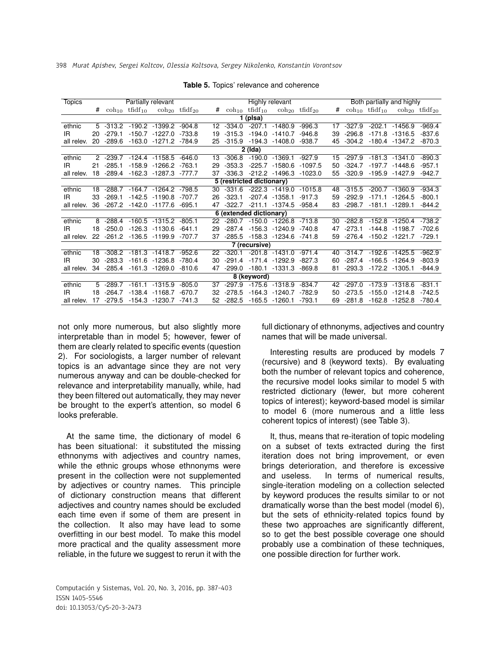| <b>Topics</b> |    |              |                                 | Partially relevant               |          |    |          |                                 | <b>Highly relevant</b>           |           |                 |          |          | Both partially and highly                                       |          |
|---------------|----|--------------|---------------------------------|----------------------------------|----------|----|----------|---------------------------------|----------------------------------|-----------|-----------------|----------|----------|-----------------------------------------------------------------|----------|
|               | #  |              | $\coh_{10}$ tfidf <sub>10</sub> | $\cosh_{20}$ tfidf <sub>20</sub> |          | #  |          | $\coh_{10}$ tfidf <sub>10</sub> | $\cosh_{20}$ tfidf <sub>20</sub> |           | #               |          |          | $\coh_{10}$ tfidf <sub>10</sub> $\coh_{20}$ tfidf <sub>20</sub> |          |
|               |    |              |                                 |                                  |          |    |          | 1 (plsa)                        |                                  |           |                 |          |          |                                                                 |          |
| ethnic        |    | $5 - 313.2$  |                                 | $-190.2$ $-1399.2$ $-904.8$      |          | 12 | $-334.0$ |                                 | $-207.1 - 1480.9$                | $-996.3$  | 17              | $-327.9$ | $-202.1$ | $-1456.9$                                                       | $-969.4$ |
| IR.           | 20 | $-279.1$     |                                 | -150.7 -1227.0 -733.8            |          | 19 | $-315.3$ |                                 | $-194.0 - 1410.7$                | $-946.8$  | 39              | $-296.8$ |          | $-171.8 - 1316.5$                                               | $-837.6$ |
| all relev.    | 20 | $-289.6$     |                                 | -163.0 -1271.2 -784.9            |          | 25 |          |                                 | $-315.9$ $-194.3$ $-1408.0$      | $-938.7$  | 45              | $-304.2$ |          | -180.4 -1347.2                                                  | $-870.3$ |
|               |    |              |                                 |                                  |          |    |          | 2 (Ida)                         |                                  |           |                 |          |          |                                                                 |          |
| ethnic        |    |              |                                 | 2 -239.7 -124.4 -1158.5 -646.0   |          | 13 | $-306.8$ |                                 | $-190.0 - 1369.1$                | -927.9    | 15 <sup>1</sup> | -297.9   |          | -181.3 -1341.0                                                  | $-890.3$ |
| IR.           | 21 | $-285.1$     |                                 | $-158.9 - 1266.2 - 763.1$        |          | 29 | $-353.3$ |                                 | $-225.7 - 1580.6$                | $-1097.5$ | 50              | $-324.7$ |          | $-197.7 - 1448.6$                                               | $-957.1$ |
| all relev.    |    | 18 - 289.4   |                                 | -162.3 -1287.3 -777.7            |          | 37 | $-336.3$ |                                 | $-212.2 - 1496.3$                | -1023.0   | 55              | $-320.9$ |          | -195.9 -1427.9                                                  | $-942.7$ |
|               |    |              |                                 |                                  |          |    |          | 5 (restricted dictionary)       |                                  |           |                 |          |          |                                                                 |          |
| ethnic        |    | 18 -288.7    |                                 | -164.7 -1264.2 -798.5            |          |    |          |                                 | 30 -331.6 -222.3 -1419.0         | $-1015.8$ | 48              | $-315.5$ |          | $-200.7 -1360.9$                                                | $-934.3$ |
| IR.           | 33 | $-269.1$     |                                 | $-142.5 - 1190.8$                | -707.7   | 26 | $-323.1$ |                                 | $-207.4$ $-1358.1$               | $-917.3$  | 59              | $-292.9$ | $-171.1$ | $-1264.5$                                                       | $-800.1$ |
| all relev.    |    |              |                                 | 36 -267.2 -142.0 -1177.6 -695.1  |          | 47 | $-322.7$ |                                 | $-211.1 - 1374.5 - 958.4$        |           | 83              | $-298.7$ |          | $-181.1 - 1289.1$                                               | $-844.2$ |
|               |    |              |                                 |                                  |          |    |          | 6 (extended dictionary)         |                                  |           |                 |          |          |                                                                 |          |
| ethnic        |    |              |                                 | 8 -288.4 -160.5 -1315.2 -805.1   |          |    |          |                                 | 22 -280.7 -150.0 -1226.8 -713.8  |           | 30              | $-282.8$ |          | -152.8 -1250.4                                                  | $-738.2$ |
| IR            |    | 18 -250.0    |                                 | $-126.3 - 1130.6$                | -641.1   | 29 | -287.4   |                                 | -156.3 -1240.9                   | $-740.8$  | 47              | $-273.1$ |          | $-144.8 - 1198.7$                                               | $-702.6$ |
| all relev.    |    | $22 - 261.2$ |                                 | $-136.5 - 1199.9$                | $-707.7$ | 37 | $-285.5$ |                                 | -158.3 -1234.6 -741.8            |           | 59              | $-276.4$ |          | $-150.2 -1221.7$                                                | $-729.1$ |
|               |    |              |                                 |                                  |          |    |          | 7 (recursive)                   |                                  |           |                 |          |          |                                                                 |          |
| ethnic        | 18 | $-308.2$     |                                 | -181.3 -1418.7                   | -952.6   | 22 | $-320.1$ |                                 | $-201.8 - 1431.0$                | $-971.4$  | 40              | -314.7   |          | $-192.6 - 1425.5$                                               | $-962.9$ |
| IR            | 30 | $-283.3$     |                                 | $-161.6 - 1236.8$                | $-780.4$ | 30 | $-291.4$ |                                 | $-171.4 -1292.9$                 | $-827.3$  | 60              | -287.4   |          | $-166.5 -1264.9$                                                | $-803.9$ |
| all relev.    |    |              |                                 | 34 -285.4 -161.3 -1269.0 -810.6  |          | 47 | $-299.0$ |                                 | $-180.1 - 1331.3$                | $-869.8$  | 81              | $-293.3$ |          | $-172.2 -1305.1$                                                | $-844.9$ |
|               |    |              |                                 |                                  |          |    |          | 8 (keyword)                     |                                  |           |                 |          |          |                                                                 |          |
| ethnic        |    |              |                                 | $5 - 289.7 - 161.1 - 1315.9$     | $-805.0$ | 37 | -297.9   |                                 | -175.6 -1318.9 -834.7            |           | 42              | $-297.0$ |          | -173.9 -1318.6                                                  | $-831.1$ |
| IR.           | 18 | $-264.7$     |                                 | $-138.4$ $-1168.7$               | $-670.7$ | 32 | $-278.5$ |                                 | $-164.3 - 1240.7$                | $-782.9$  | 50              | $-273.5$ |          | $-155.0 - 1214.8$                                               | $-742.5$ |
| all relev.    | 17 | -279.5       |                                 | $-154.3 - 1230.7 - 741.3$        |          | 52 | $-282.5$ |                                 | $-165.5 - 1260.1$                | $-793.1$  | 69              | -281.8   |          | $-162.8 - 1252.8$                                               | $-780.4$ |

**Table 5.** Topics' relevance and coherence

not only more numerous, but also slightly more interpretable than in model 5; however, fewer of them are clearly related to specific events (question 2). For sociologists, a larger number of relevant topics is an advantage since they are not very numerous anyway and can be double-checked for relevance and interpretability manually, while, had they been filtered out automatically, they may never be brought to the expert's attention, so model 6 looks preferable.

At the same time, the dictionary of model 6 has been situational: it substituted the missing ethnonyms with adjectives and country names, while the ethnic groups whose ethnonyms were present in the collection were not supplemented by adjectives or country names. This principle of dictionary construction means that different adjectives and country names should be excluded each time even if some of them are present in the collection. It also may have lead to some overfitting in our best model. To make this model more practical and the quality assessment more reliable, in the future we suggest to rerun it with the

full dictionary of ethnonyms, adjectives and country names that will be made universal.

Interesting results are produced by models 7 (recursive) and 8 (keyword texts). By evaluating both the number of relevant topics and coherence, the recursive model looks similar to model 5 with restricted dictionary (fewer, but more coherent topics of interest); keyword-based model is similar to model 6 (more numerous and a little less coherent topics of interest) (see Table 3).

It, thus, means that re-iteration of topic modeling on a subset of texts extracted during the first iteration does not bring improvement, or even brings deterioration, and therefore is excessive and useless. In terms of numerical results, single-iteration modeling on a collection selected by keyword produces the results similar to or not dramatically worse than the best model (model 6), but the sets of ethnicity-related topics found by these two approaches are significantly different, so to get the best possible coverage one should probably use a combination of these techniques, one possible direction for further work.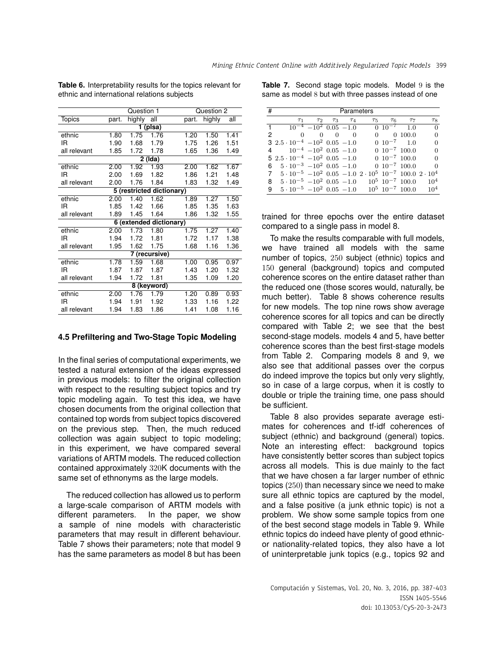| Question 1<br>Question 2 |       |        |                           |       |        |      |
|--------------------------|-------|--------|---------------------------|-------|--------|------|
| <b>Topics</b>            | part. | highly | all                       | part. | highly | all  |
|                          |       |        | 1 (plsa)                  |       |        |      |
| ethnic                   | 1.80  | 1.75   | 1.76                      | 1.20  | 1.50   | 1.41 |
| IR                       | 1.90  | 1.68   | 1.79                      | 1.75  | 1.26   | 1.51 |
| all relevant             | 1.85  | 1.72   | 1.78                      | 1.65  | 1.36   | 1.49 |
|                          |       |        | 2 (Ida)                   |       |        |      |
| ethnic                   | 2.00  | 1.92   | 1.93                      | 2.00  | 1.62   | 1.67 |
| IR.                      | 2.00  | 1.69   | 1.82                      | 1.86  | 1.21   | 1.48 |
| all relevant             | 2.00  | 1.76   | 1.84                      | 1.83  | 1.32   | 1.49 |
|                          |       |        | 5 (restricted dictionary) |       |        |      |
| ethnic                   | 2.00  | 1.40   | 1.62                      | 1.89  | 1.27   | 1.50 |
| IR.                      | 1.85  | 1.42   | 1.66                      | 1.85  | 1.35   | 1.63 |
| all relevant             | 1.89  | 1.45   | 1.64                      | 1.86  | 1.32   | 1.55 |
|                          |       |        | 6 (extended dictionary)   |       |        |      |
| ethnic                   | 2.00  | 1.73   | 1.80                      | 1.75  | 1.27   | 1.40 |
| ΙR                       | 1.94  | 1.72   | 1.81                      | 1.72  | 1.17   | 1.38 |
| all relevant             | 1.95  | 1.62   | 1.75                      | 1.68  | 1.16   | 1.36 |
|                          |       |        | 7 (recursive)             |       |        |      |
| ethnic                   | 1.78  | 1.59   | 1.68                      | 1.00  | 0.95   | 0.97 |
| ΙR                       | 1.87  | 1.87   | 1.87                      | 1.43  | 1.20   | 1.32 |
| all relevant             | 1.94  | 1.72   | 1.81                      | 1.35  | 1.09   | 1.20 |
|                          |       |        | 8 (keyword)               |       |        |      |
| ethnic                   | 2.00  | 1.76   | 1.79                      | 1.20  | 0.89   | 0.93 |
| ΙR                       | 1.94  | 1.91   | 1.92                      | 1.33  | 1.16   | 1.22 |
| all relevant             | 1.94  | 1.83   | 1.86                      | 1.41  | 1.08   | 1.16 |

**Table 6.** Interpretability results for the topics relevant for ethnic and international relations subjects

Table 7. Second stage topic models. Model 9 is the same as model 8 but with three passes instead of one

| # |                                                                                           |                                      |                | Parameters        |            |          |                          |          |
|---|-------------------------------------------------------------------------------------------|--------------------------------------|----------------|-------------------|------------|----------|--------------------------|----------|
|   | T <sub>1</sub>                                                                            | $\tau_2$                             |                | $\tau_3$ $\tau_4$ | $\tau_{5}$ | $\tau_6$ | $\tau_7$                 | $\tau_8$ |
|   |                                                                                           | $10^{-4}$ -10 <sup>2</sup> 0.05 -1.0 |                |                   |            |          | $0 \ 10^{-7} \ 1.0$      | $\Omega$ |
| 2 | $\Omega$                                                                                  | $\Omega$                             | $\overline{0}$ | $\Omega$          |            |          | 0,100.0                  | $\Omega$ |
|   | 3 $2.5 \cdot 10^{-4}$ $-10^{2}$ 0.05 $-1.0$                                               |                                      |                |                   |            |          | $0 \t10^{-7} \t1.0$      | $\Omega$ |
|   | 4 $10^{-4}$ $-10^{2}$ 0.05 $-1.0$                                                         |                                      |                |                   |            |          | $0.10^{-7}$ 100.0        | $\Omega$ |
|   | $5\ 2.5\cdot 10^{-4}\ -10^{2}\ 0.05\ -1.0$                                                |                                      |                |                   |            |          | $0 \t10^{-7} \t100.0$    | $\Omega$ |
| 6 | $5 \cdot 10^{-3}$ $-10^{2}$ 0.05 $-1.0$                                                   |                                      |                |                   |            |          | $0.10^{-7}$ 100.0        | $\Omega$ |
| 7 | $5 \cdot 10^{-5}$ $-10^{2}$ 0.05 $-1.0$ $2 \cdot 10^{5}$ $10^{-7}$ 100.0 $2 \cdot 10^{4}$ |                                      |                |                   |            |          |                          |          |
|   | 8 $5 \cdot 10^{-5}$ $-10^{2}$ 0.05 $-1.0$                                                 |                                      |                |                   |            |          | $10^5$ $10^{-7}$ $100.0$ | $10^{4}$ |
| 9 | $5 \cdot 10^{-5}$ $-10^{2}$ 0.05 $-1.0$                                                   |                                      |                |                   |            |          | $10^5$ $10^{-7}$ $100.0$ | $10^{4}$ |

trained for three epochs over the entire dataset compared to a single pass in model 8.

To make the results comparable with full models, we have trained all models with the same number of topics, 250 subject (ethnic) topics and 150 general (background) topics and computed coherence scores on the entire dataset rather than the reduced one (those scores would, naturally, be much better). Table 8 shows coherence results for new models. The top nine rows show average coherence scores for all topics and can be directly compared with Table 2; we see that the best second-stage models. models 4 and 5, have better coherence scores than the best first-stage models from Table 2. Comparing models 8 and 9, we also see that additional passes over the corpus do indeed improve the topics but only very slightly, so in case of a large corpus, when it is costly to double or triple the training time, one pass should be sufficient.

Table 8 also provides separate average estimates for coherences and tf-idf coherences of subject (ethnic) and background (general) topics. Note an interesting effect: background topics have consistently better scores than subject topics across all models. This is due mainly to the fact that we have chosen a far larger number of ethnic topics (250) than necessary since we need to make sure all ethnic topics are captured by the model, and a false positive (a junk ethnic topic) is not a problem. We show some sample topics from one of the best second stage models in Table 9. While ethnic topics do indeed have plenty of good ethnicor nationality-related topics, they also have a lot of uninterpretable junk topics (e.g., topics 92 and

### Computación y Sistemas, Vol. 20, No. 3, 2016, pp. 387–403 ISSN 1405-5546 doi: 10.13053/CyS-20-3-2473

### **4.5 Prefiltering and Two-Stage Topic Modeling**

In the final series of computational experiments, we tested a natural extension of the ideas expressed in previous models: to filter the original collection with respect to the resulting subject topics and try topic modeling again. To test this idea, we have chosen documents from the original collection that contained top words from subject topics discovered on the previous step. Then, the much reduced collection was again subject to topic modeling; in this experiment, we have compared several variations of ARTM models. The reduced collection contained approximately 320K documents with the same set of ethnonyms as the large models.

The reduced collection has allowed us to perform a large-scale comparison of ARTM models with different parameters. In the paper, we show a sample of nine models with characteristic parameters that may result in different behaviour. Table 7 shows their parameters; note that model 9 has the same parameters as model 8 but has been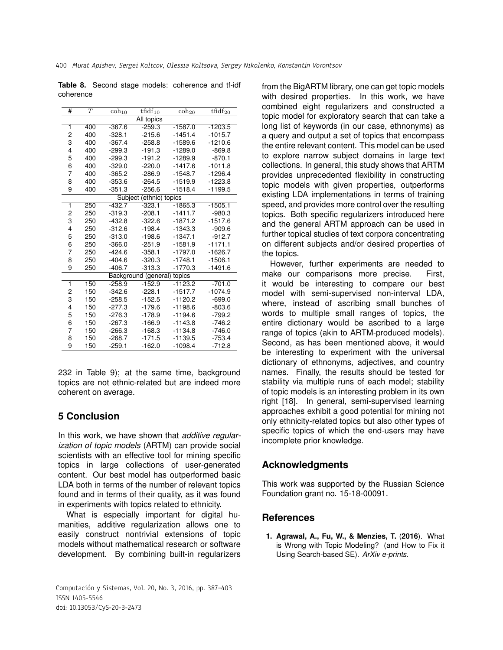|           |  | <b>Table 8.</b> Second stage models: coherence and tf-idf |  |
|-----------|--|-----------------------------------------------------------|--|
| coherence |  |                                                           |  |

| # | T   | $\overline{\mathrm{coh}}_{10}$ | $t\bar{f}df_{10}$       | $\cosh_{20}$ | $tfidf_{20}$ |
|---|-----|--------------------------------|-------------------------|--------------|--------------|
|   |     |                                | All topics              |              |              |
| 1 | 400 | $-367.6$                       | $-259.3$                | $-1587.0$    | $-1203.5$    |
| 2 | 400 | $-328.1$                       | $-215.6$                | $-1451.4$    | $-1015.7$    |
| 3 | 400 | $-367.4$                       | $-258.8$                | $-1589.6$    | $-1210.6$    |
| 4 | 400 | $-299.3$                       | $-191.3$                | $-1289.0$    | $-869.8$     |
| 5 | 400 | $-299.3$                       | $-191.2$                | $-1289.9$    | $-870.1$     |
| 6 | 400 | $-329.0$                       | $-220.0$                | $-1417.6$    | $-1011.8$    |
| 7 | 400 | $-365.2$                       | $-286.9$                | $-1548.7$    | $-1296.4$    |
| 8 | 400 | $-353.6$                       | $-264.5$                | $-1519.9$    | $-1223.8$    |
| 9 | 400 | $-351.3$                       | $-256.6$                | $-1518.4$    | $-1199.5$    |
|   |     |                                | Subject (ethnic) topics |              |              |
| 1 | 250 | $-432.7$                       | $-323.1$                | $-1865.3$    | $-1505.1$    |
| 2 | 250 | $-319.3$                       | $-208.1$                | $-1411.7$    | $-980.3$     |
| 3 | 250 | $-432.8$                       | $-322.6$                | $-1871.2$    | $-1517.6$    |
| 4 | 250 | $-312.6$                       | $-198.4$                | $-1343.3$    | $-909.6$     |
| 5 | 250 | $-313.0$                       | $-198.6$                | $-1347.1$    | $-912.7$     |
| 6 | 250 | $-366.0$                       | $-251.9$                | $-1581.9$    | $-1171.1$    |
| 7 | 250 | $-424.6$                       | $-358.1$                | $-1797.0$    | $-1626.7$    |
| 8 | 250 | $-404.6$                       | $-320.3$                | $-1748.1$    | $-1506.1$    |
| 9 | 250 | $-406.7$                       | $-313.3$                | $-1770.3$    | $-1491.6$    |
|   |     |                                | Background (general)    | topics       |              |
| 1 | 150 | $-258.9$                       | $-152.9$                | $-1123.2$    | $-701.0$     |
| 2 | 150 | $-342.6$                       | $-228.1$                | $-1517.7$    | $-1074.9$    |
| 3 | 150 | $-258.5$                       | $-152.5$                | $-1120.2$    | $-699.0$     |
| 4 | 150 | $-277.3$                       | $-179.6$                | $-1198.6$    | $-803.6$     |
| 5 | 150 | $-276.3$                       | $-178.9$                | $-1194.6$    | $-799.2$     |
| 6 | 150 | $-267.3$                       | $-166.9$                | $-1143.8$    | $-746.2$     |
| 7 | 150 | $-266.3$                       | $-168.3$                | $-1134.8$    | $-746.0$     |
| 8 | 150 | $-268.7$                       | $-171.5$                | $-1139.5$    | $-753.4$     |
| 9 | 150 | $-259.1$                       | $-162.0$                | $-1098.4$    | $-712.8$     |

232 in Table 9); at the same time, background topics are not ethnic-related but are indeed more coherent on average.

# **5 Conclusion**

In this work, we have shown that *additive regularization of topic models* (ARTM) can provide social scientists with an effective tool for mining specific topics in large collections of user-generated content. Our best model has outperformed basic LDA both in terms of the number of relevant topics found and in terms of their quality, as it was found in experiments with topics related to ethnicity.

What is especially important for digital humanities, additive regularization allows one to easily construct nontrivial extensions of topic models without mathematical research or software development. By combining built-in regularizers

Computación y Sistemas, Vol. 20, No. 3, 2016, pp. 387–403 ISSN 1405-5546 doi: 10.13053/CyS-20-3-2473

from the BigARTM library, one can get topic models with desired properties. In this work, we have combined eight regularizers and constructed a topic model for exploratory search that can take a long list of keywords (in our case, ethnonyms) as a query and output a set of topics that encompass the entire relevant content. This model can be used to explore narrow subject domains in large text collections. In general, this study shows that ARTM provides unprecedented flexibility in constructing topic models with given properties, outperforms existing LDA implementations in terms of training speed, and provides more control over the resulting topics. Both specific regularizers introduced here and the general ARTM approach can be used in further topical studies of text corpora concentrating on different subjects and/or desired properties of the topics.

However, further experiments are needed to make our comparisons more precise. First, it would be interesting to compare our best model with semi-supervised non-interval LDA, where, instead of ascribing small bunches of words to multiple small ranges of topics, the entire dictionary would be ascribed to a large range of topics (akin to ARTM-produced models). Second, as has been mentioned above, it would be interesting to experiment with the universal dictionary of ethnonyms, adjectives, and country names. Finally, the results should be tested for stability via multiple runs of each model; stability of topic models is an interesting problem in its own right [18]. In general, semi-supervised learning approaches exhibit a good potential for mining not only ethnicity-related topics but also other types of specific topics of which the end-users may have incomplete prior knowledge.

## **Acknowledgments**

This work was supported by the Russian Science Foundation grant no. 15-18-00091.

### **References**

**1. Agrawal, A., Fu, W., & Menzies, T.** (**2016**). What is Wrong with Topic Modeling? (and How to Fix it Using Search-based SE). *ArXiv e-prints*.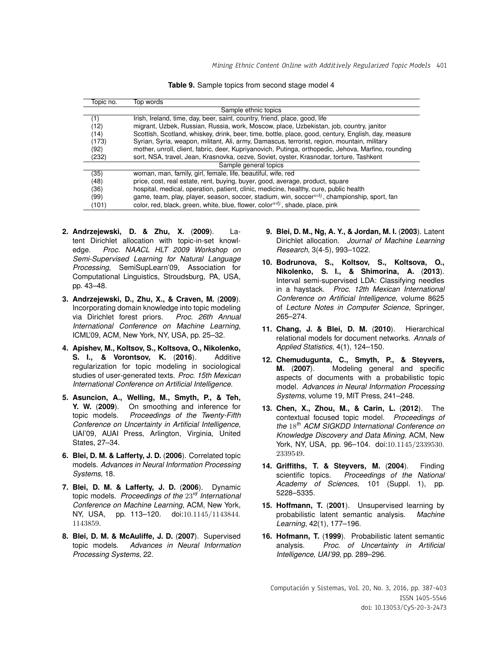| Table 9. Sample topics from second stage model 4 |  |  |  |  |
|--------------------------------------------------|--|--|--|--|
|                                                  |  |  |  |  |

| Topic no. | Top words                                                                                           |
|-----------|-----------------------------------------------------------------------------------------------------|
|           | Sample ethnic topics                                                                                |
| (1)       | Irish, Ireland, time, day, beer, saint, country, friend, place, good, life                          |
| (12)      | migrant, Uzbek, Russian, Russia, work, Moscow, place, Uzbekistan, job, country, janitor             |
| (14)      | Scottish, Scotland, whiskey, drink, beer, time, bottle, place, good, century, English, day, measure |
| (173)     | Syrian, Syria, weapon, militant, Ali, army, Damascus, terrorist, region, mountain, military         |
| (92)      | mother, unroll, client, fabric, deer, Kupriyanovich, Putinga, orthopedic, Jehova, Marfino, rounding |
| (232)     | sort, NSA, travel, Jean, Krasnovka, cezve, Soviet, oyster, Krasnodar, torture, Tashkent             |
|           | Sample general topics                                                                               |
| (35)      | woman, man, family, girl, female, life, beautiful, wife, red                                        |
| (48)      | price, cost, real estate, rent, buying, buyer, good, average, product, square                       |
| (36)      | hospital, medical, operation, patient, clinic, medicine, healthy, cure, public health               |
| (99)      | game, team, play, player, season, soccer, stadium, win, soccer $a^{dj}$ , championship, sport, fan  |
| (101)     | color, red, black, green, white, blue, flower, color $\frac{adj}{i}$ , shade, place, pink           |

- **2. Andrzejewski, D. & Zhu, X.** (**2009**). Latent Dirichlet allocation with topic-in-set knowledge. *Proc. NAACL HLT 2009 Workshop on Semi-Supervised Learning for Natural Language Processing*, SemiSupLearn'09, Association for Computational Linguistics, Stroudsburg, PA, USA, pp. 43–48.
- **3. Andrzejewski, D., Zhu, X., & Craven, M.** (**2009**). Incorporating domain knowledge into topic modeling<br>via Dirichlet forest priors. Proc. 26th Annual via Dirichlet forest priors. *International Conference on Machine Learning*, ICML'09, ACM, New York, NY, USA, pp. 25–32.
- **4. Apishev, M., Koltsov, S., Koltsova, O., Nikolenko, S. I., & Vorontsov, K.** (**2016**). Additive regularization for topic modeling in sociological studies of user-generated texts. *Proc. 15th Mexican International Conference on Artificial Intelligence*.
- **5. Asuncion, A., Welling, M., Smyth, P., & Teh, Y. W.** (**2009**). On smoothing and inference for topic models. *Proceedings of the Twenty-Fifth Conference on Uncertainty in Artificial Intelligence*, UAI'09, AUAI Press, Arlington, Virginia, United States, 27–34.
- **6. Blei, D. M. & Lafferty, J. D.** (**2006**). Correlated topic models. *Advances in Neural Information Processing Systems*, 18.
- **7. Blei, D. M. & Lafferty, J. D.** (**2006**). Dynamic topic models. *Proceedings of the* 23*rd International Conference on Machine Learning*, ACM, New York, NY, USA, pp. 113–120. doi:10.1145/1143844. 1143859.
- **8. Blei, D. M. & McAuliffe, J. D.** (**2007**). Supervised topic models. *Advances in Neural Information Processing Systems*, 22.
- **9. Blei, D. M., Ng, A. Y., & Jordan, M. I.** (**2003**). Latent Dirichlet allocation. *Journal of Machine Learning Research*, 3(4-5), 993–1022.
- **10. Bodrunova, S., Koltsov, S., Koltsova, O., Nikolenko, S. I., & Shimorina, A.** (**2013**). Interval semi-supervised LDA: Classifying needles in a haystack. *Proc. 12th Mexican International Conference on Artificial Intelligence*, volume 8625 of *Lecture Notes in Computer Science*, Springer, 265–274.
- **11. Chang, J. & Blei, D. M.** (**2010**). Hierarchical relational models for document networks. *Annals of Applied Statistics*, 4(1), 124–150.
- **12. Chemudugunta, C., Smyth, P., & Steyvers, M.** (**2007**). Modeling general and specific aspects of documents with a probabilistic topic model. *Advances in Neural Information Processing Systems*, volume 19, MIT Press, 241–248.
- **13. Chen, X., Zhou, M., & Carin, L.** (**2012**). The contextual focused topic model. *Proceedings of the* 18*th ACM SIGKDD International Conference on Knowledge Discovery and Data Mining*. ACM, New York, NY, USA, pp. 96–104. doi:10.1145/2339530. 2339549.
- **14. Griffiths, T. & Steyvers, M.** (**2004**). Finding scientific topics. *Proceedings of the National Academy of Sciences*, 101 (Suppl. 1), pp. 5228–5335.
- **15. Hoffmann, T.** (**2001**). Unsupervised learning by probabilistic latent semantic analysis. *Machine Learning*, 42(1), 177–196.
- **16. Hofmann, T.** (**1999**). Probabilistic latent semantic analysis. *Proc. of Uncertainty in Artificial Intelligence, UAI'99*, pp. 289–296.

Computación y Sistemas, Vol. 20, No. 3, 2016, pp. 387–403 ISSN 1405-5546 doi: 10.13053/CyS-20-3-2473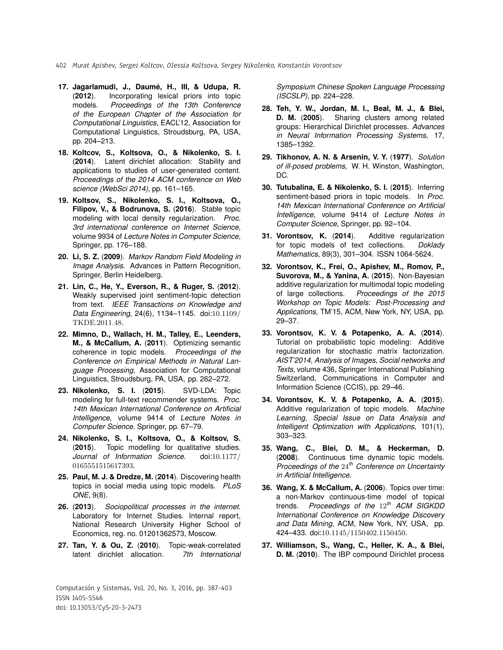- 402 Murat Apishev, Sergei Koltcov, Olessia Koltsova, Sergey Nikolenko, Konstantin Vorontsov
- **17. Jagarlamudi, J., Daume, H., III, & Udupa, R. ´** (**2012**). Incorporating lexical priors into topic models. *Proceedings of the 13th Conference of the European Chapter of the Association for Computational Linguistics*, EACL'12, Association for Computational Linguistics, Stroudsburg, PA, USA, pp. 204–213.
- **18. Koltcov, S., Koltsova, O., & Nikolenko, S. I.** (**2014**). Latent dirichlet allocation: Stability and applications to studies of user-generated content. *Proceedings of the 2014 ACM conference on Web science (WebSci 2014)*, pp. 161–165.
- **19. Koltsov, S., Nikolenko, S. I., Koltsova, O., Filipov, V., & Bodrunova, S.** (**2016**). Stable topic modeling with local density regularization. *Proc. 3rd international conference on Internet Science*, volume 9934 of *Lecture Notes in Computer Science*, Springer, pp. 176–188.
- **20. Li, S. Z.** (**2009**). *Markov Random Field Modeling in Image Analysis*. Advances in Pattern Recognition, Springer, Berlin Heidelberg.
- **21. Lin, C., He, Y., Everson, R., & Ruger, S.** (**2012**). Weakly supervised joint sentiment-topic detection from text. *IEEE Transactions on Knowledge and Data Engineering*, 24(6), 1134–1145. doi:10.1109/ TKDE.2011.48.
- **22. Mimno, D., Wallach, H. M., Talley, E., Leenders, M., & McCallum, A.** (**2011**). Optimizing semantic coherence in topic models. *Proceedings of the Conference on Empirical Methods in Natural Language Processing*, Association for Computational Linguistics, Stroudsburg, PA, USA, pp. 262–272.
- **23. Nikolenko, S. I.** (**2015**). SVD-LDA: Topic modeling for full-text recommender systems. *Proc. 14th Mexican International Conference on Artificial Intelligence*, volume 9414 of *Lecture Notes in Computer Science*. Springer, pp. 67–79.
- **24. Nikolenko, S. I., Koltsova, O., & Koltsov, S.** (**2015**). Topic modelling for qualitative studies. *Journal of Information Science*. doi:10.1177/ 0165551515617393.
- **25. Paul, M. J. & Dredze, M.** (**2014**). Discovering health topics in social media using topic models. *PLoS ONE*, 9(8).
- **26.** (**2013**). *Sociopolitical processes in the internet*. Laboratory for Internet Studies. Internal report, National Research University Higher School of Economics, reg. no. 01201362573, Moscow.
- **27. Tan, Y. & Ou, Z.** (**2010**). Topic-weak-correlated latent dirichlet allocation. *7th International*

Computación y Sistemas, Vol. 20, No. 3, 2016, pp. 387–403 ISSN 1405-5546 doi: 10.13053/CyS-20-3-2473

*Symposium Chinese Spoken Language Processing (ISCSLP)*, pp. 224–228.

- **28. Teh, Y. W., Jordan, M. I., Beal, M. J., & Blei, D. M.** (**2005**). Sharing clusters among related groups: Hierarchical Dirichlet processes. *Advances in Neural Information Processing Systems*, 17, 1385–1392.
- **29. Tikhonov, A. N. & Arsenin, V. Y.** (**1977**). *Solution of ill-posed problems*, W. H. Winston, Washington, DC.
- **30. Tutubalina, E. & Nikolenko, S. I.** (**2015**). Inferring sentiment-based priors in topic models. In *Proc. 14th Mexican International Conference on Artificial Intelligence*, volume 9414 of *Lecture Notes in Computer Science*, Springer, pp. 92–104.
- **31. Vorontsov, K.** (**2014**). Additive regularization for topic models of text collections. *Doklady Mathematics*, 89(3), 301–304. ISSN 1064-5624.
- **32. Vorontsov, K., Frei, O., Apishev, M., Romov, P., Suvorova, M., & Yanina, A.** (**2015**). Non-Bayesian additive regularization for multimodal topic modeling of large collections. *Proceedings of the 2015 Workshop on Topic Models: Post-Processing and Applications*, TM'15, ACM, New York, NY, USA, pp. 29–37.
- **33. Vorontsov, K. V. & Potapenko, A. A.** (**2014**). Tutorial on probabilistic topic modeling: Additive regularization for stochastic matrix factorization. *AIST'2014, Analysis of Images, Social networks and Texts*, volume 436, Springer International Publishing Switzerland, Communications in Computer and Information Science (CCIS), pp. 29–46.
- **34. Vorontsov, K. V. & Potapenko, A. A.** (**2015**). Additive regularization of topic models. *Machine Learning, Special Issue on Data Analysis and Intelligent Optimization with Applications*, 101(1), 303–323.
- **35. Wang, C., Blei, D. M., & Heckerman, D.** (**2008**). Continuous time dynamic topic models. *Proceedings of the* 24*th Conference on Uncertainty in Artificial Intelligence*.
- **36. Wang, X. & McCallum, A.** (**2006**). Topics over time: a non-Markov continuous-time model of topical trends. *Proceedings of the* 12*th ACM SIGKDD International Conference on Knowledge Discovery and Data Mining*, ACM, New York, NY, USA, pp. 424–433. doi:10.1145/1150402.1150450.
- **37. Williamson, S., Wang, C., Heller, K. A., & Blei, D. M.** (**2010**). The IBP compound Dirichlet process